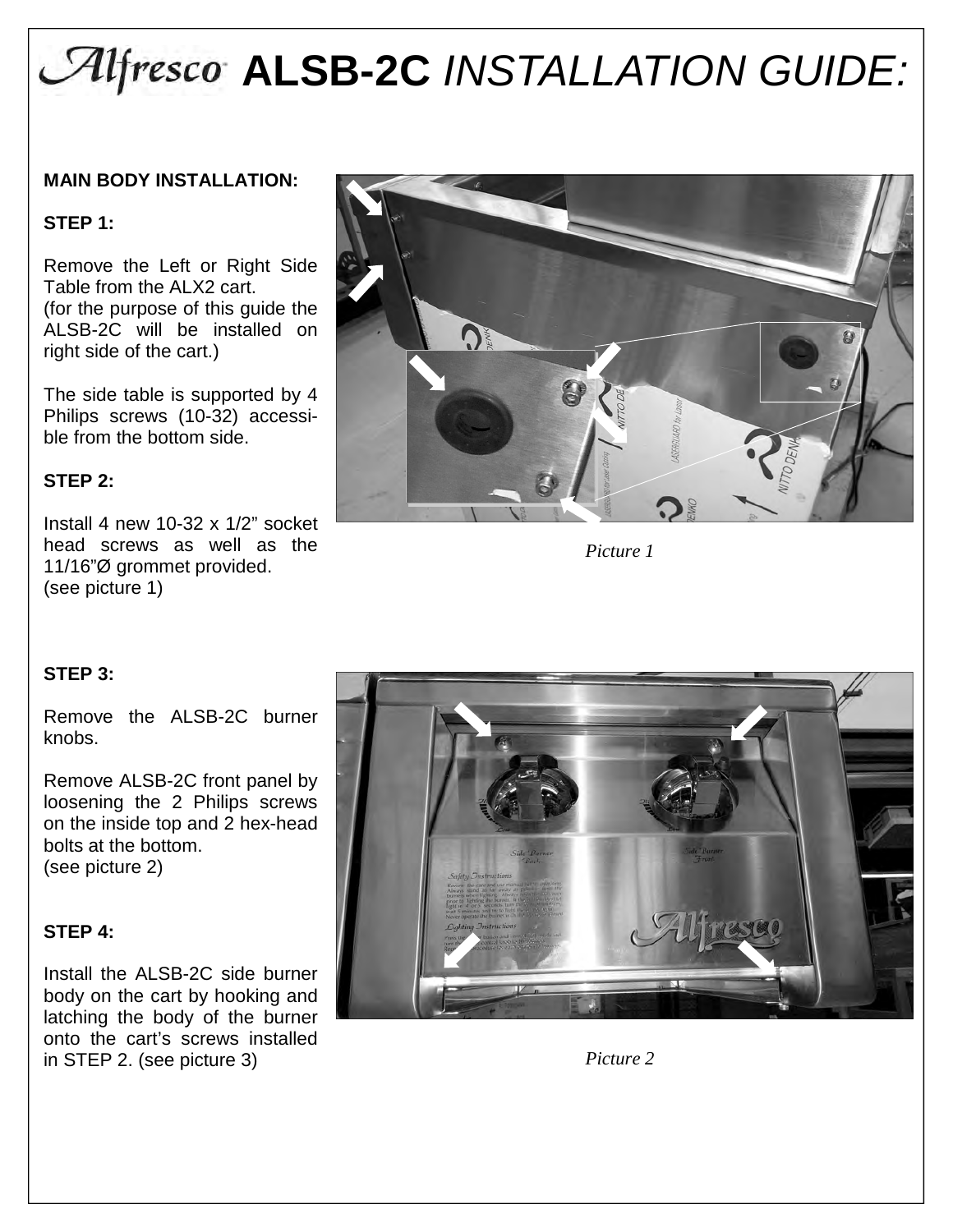# Alfresco **ALSB-2C** INSTALLATION GUIDE:

#### **MAIN BODY INSTALLATION:**

# **STEP 1:**

Remove the Left or Right Side Table from the ALX2 cart. (for the purpose of this guide the ALSB-2C will be installed on right side of the cart.)

The side table is supported by 4 Philips screws (10-32) accessible from the bottom side.

# **STEP 2:**

Install 4 new 10-32 x 1/2" socket head screws as well as the 11/16"Ø grommet provided. (see picture 1)



*Picture 1*

# **STEP 3:**

Remove the ALSB-2C burner knobs.

Remove ALSB-2C front panel by loosening the 2 Philips screws on the inside top and 2 hex-head bolts at the bottom. (see picture 2)

#### **STEP 4:**

Install the ALSB-2C side burner body on the cart by hooking and latching the body of the burner onto the cart's screws installed in STEP 2. (see picture 3)



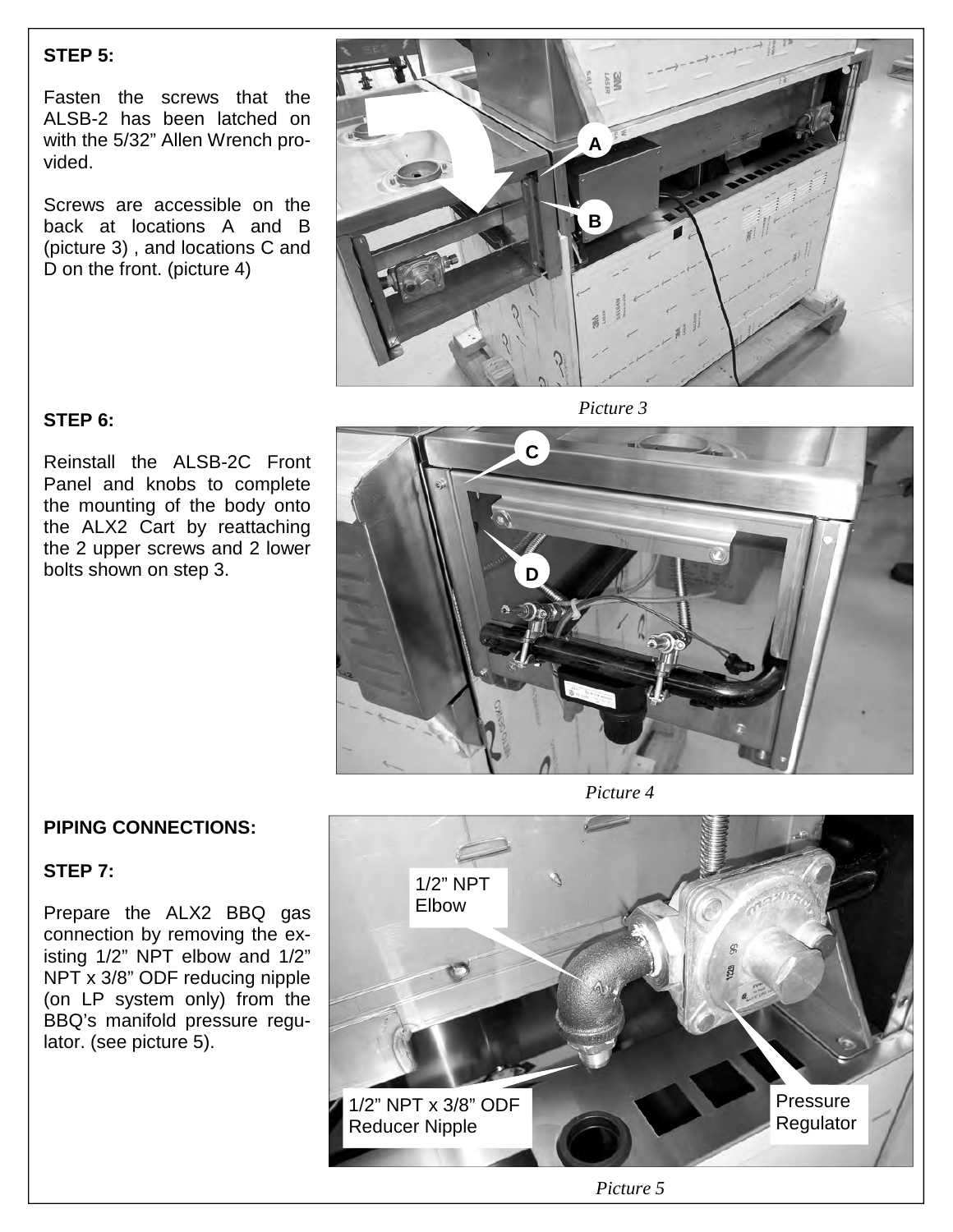#### **STEP 5:**

Fasten the screws that the ALSB-2 has been latched on with the 5/32" Allen Wrench provided.

Screws are accessible on the back at locations A and B (picture 3) , and locations C and D on the front. (picture 4)



#### **STEP 6:**

Reinstall the ALSB-2C Front Panel and knobs to complete the mounting of the body onto the ALX2 Cart by reattaching the 2 upper screws and 2 lower bolts shown on step 3.





*Picture 4*



#### **STEP 7:**

Prepare the ALX2 BBQ gas connection by removing the existing 1/2" NPT elbow and 1/2" NPT x 3/8" ODF reducing nipple (on LP system only) from the BBQ's manifold pressure regulator. (see picture 5).